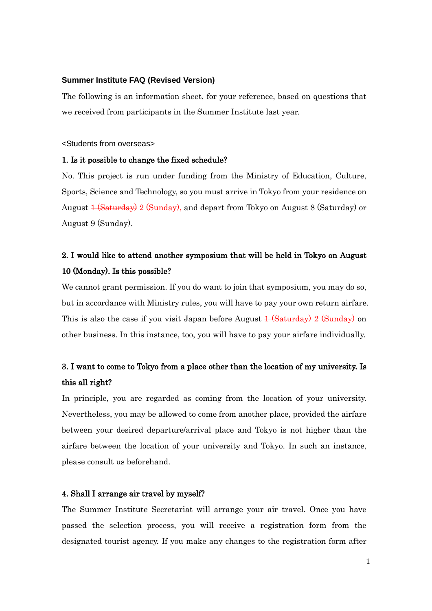#### **Summer Institute FAQ (Revised Version)**

The following is an information sheet, for your reference, based on questions that we received from participants in the Summer Institute last year.

<Students from overseas>

#### 1. Is it possible to change the fixed schedule?

No. This project is run under funding from the Ministry of Education, Culture, Sports, Science and Technology, so you must arrive in Tokyo from your residence on August  $\frac{1}{1 + \frac{1}{2}}$  (Sunday), and depart from Tokyo on August 8 (Saturday) or August 9 (Sunday).

## 2. I would like to attend another symposium that will be held in Tokyo on August 10 (Monday). Is this possible?

We cannot grant permission. If you do want to join that symposium, you may do so, but in accordance with Ministry rules, you will have to pay your own return airfare. This is also the case if you visit Japan before August  $\frac{1}{2}$  (Saturday) on other business. In this instance, too, you will have to pay your airfare individually.

### 3. I want to come to Tokyo from a place other than the location of my university. Is this all right?

In principle, you are regarded as coming from the location of your university. Nevertheless, you may be allowed to come from another place, provided the airfare between your desired departure/arrival place and Tokyo is not higher than the airfare between the location of your university and Tokyo. In such an instance, please consult us beforehand.

#### 4. Shall I arrange air travel by myself?

The Summer Institute Secretariat will arrange your air travel. Once you have passed the selection process, you will receive a registration form from the designated tourist agency. If you make any changes to the registration form after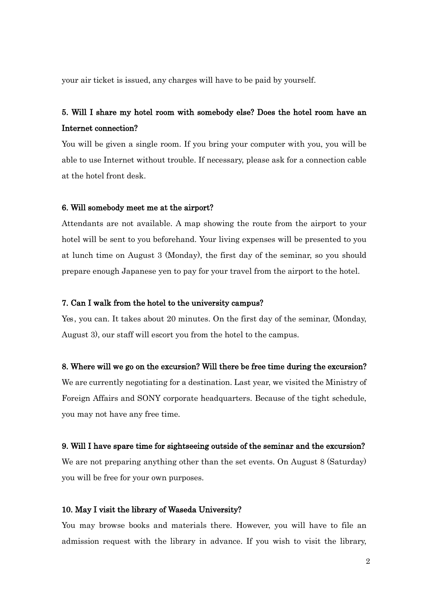your air ticket is issued, any charges will have to be paid by yourself.

## 5. Will I share my hotel room with somebody else? Does the hotel room have an Internet connection?

You will be given a single room. If you bring your computer with you, you will be able to use Internet without trouble. If necessary, please ask for a connection cable at the hotel front desk.

#### 6. Will somebody meet me at the airport?

Attendants are not available. A map showing the route from the airport to your hotel will be sent to you beforehand. Your living expenses will be presented to you at lunch time on August 3 (Monday), the first day of the seminar, so you should prepare enough Japanese yen to pay for your travel from the airport to the hotel.

#### 7. Can I walk from the hotel to the university campus?

Yes, you can. It takes about 20 minutes. On the first day of the seminar, (Monday, August 3), our staff will escort you from the hotel to the campus.

#### 8. Where will we go on the excursion? Will there be free time during the excursion?

We are currently negotiating for a destination. Last year, we visited the Ministry of Foreign Affairs and SONY corporate headquarters. Because of the tight schedule, you may not have any free time.

#### 9. Will I have spare time for sightseeing outside of the seminar and the excursion?

We are not preparing anything other than the set events. On August 8 (Saturday) you will be free for your own purposes.

#### 10. May I visit the library of Waseda University?

You may browse books and materials there. However, you will have to file an admission request with the library in advance. If you wish to visit the library,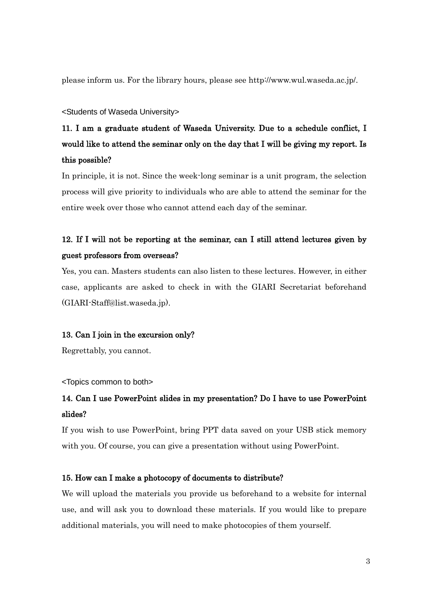please inform us. For the library hours, please see http://www.wul.waseda.ac.jp/.

#### <Students of Waseda University>

# 11. I am a graduate student of Waseda University. Due to a schedule conflict, I would like to attend the seminar only on the day that I will be giving my report. Is this possible?

In principle, it is not. Since the week-long seminar is a unit program, the selection process will give priority to individuals who are able to attend the seminar for the entire week over those who cannot attend each day of the seminar.

## 12. If I will not be reporting at the seminar, can I still attend lectures given by guest professors from overseas?

Yes, you can. Masters students can also listen to these lectures. However, in either case, applicants are asked to check in with the GIARI Secretariat beforehand (GIARI-Staff@list.waseda.jp).

#### 13. Can I join in the excursion only?

Regrettably, you cannot.

<Topics common to both>

## 14. Can I use PowerPoint slides in my presentation? Do I have to use PowerPoint slides?

If you wish to use PowerPoint, bring PPT data saved on your USB stick memory with you. Of course, you can give a presentation without using PowerPoint.

### 15. How can I make a photocopy of documents to distribute?

We will upload the materials you provide us beforehand to a website for internal use, and will ask you to download these materials. If you would like to prepare additional materials, you will need to make photocopies of them yourself.